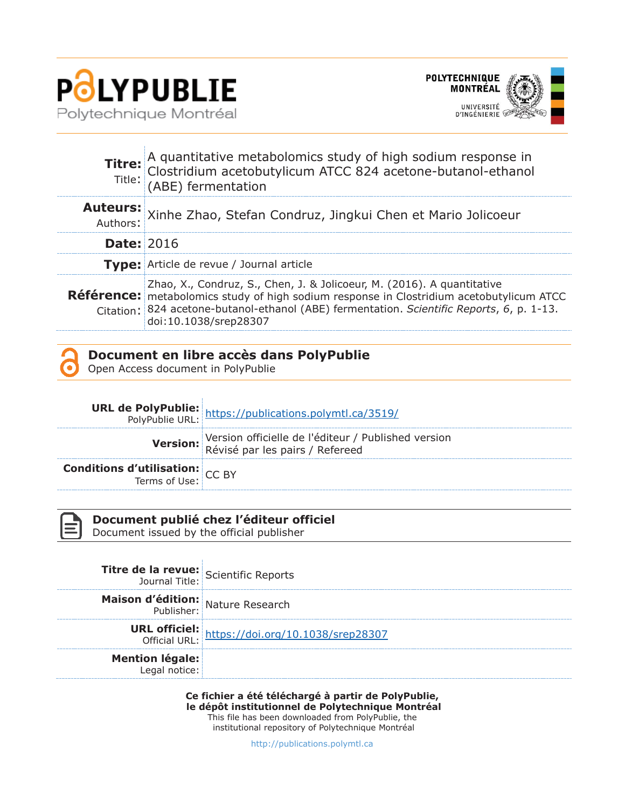

Ŷ.



|                   | <b>Titre:</b> A quantitative metabolomics study of high sodium response in Clostridium acetobutylicum ATCC 824 acetone-butanol-ethanol (ABE) fermentation                                                                                                                                |  |  |  |  |
|-------------------|------------------------------------------------------------------------------------------------------------------------------------------------------------------------------------------------------------------------------------------------------------------------------------------|--|--|--|--|
|                   | Auteurs: Xinhe Zhao, Stefan Condruz, Jingkui Chen et Mario Jolicoeur                                                                                                                                                                                                                     |  |  |  |  |
| <b>Date: 2016</b> |                                                                                                                                                                                                                                                                                          |  |  |  |  |
|                   | Type: Article de revue / Journal article                                                                                                                                                                                                                                                 |  |  |  |  |
|                   | Zhao, X., Condruz, S., Chen, J. & Jolicoeur, M. (2016). A quantitative<br>Référence: metabolomics study of high sodium response in Clostridium acetobutylicum ATCC<br>Citation: 824 acetone-butanol-ethanol (ABE) fermentation. Scientific Reports, 6, p. 1-13.<br>doi:10.1038/srep28307 |  |  |  |  |



#### **Document en libre accès dans PolyPublie**

Open Access document in PolyPublie

|                                                        | <b>URL de PolyPublie:</b> https://publications.polymtl.ca/3519/<br>PolyPublie URL: https://publications.polymtl.ca/3519/ |
|--------------------------------------------------------|--------------------------------------------------------------------------------------------------------------------------|
|                                                        | Version officielle de l'éditeur / Published version<br>Révisé par les pairs / Refereed                                   |
| <b>Conditions d'utilisation:</b> $CC$ BY Terms of Use: |                                                                                                                          |



### **Document publié chez l'éditeur officiel**

Document issued by the official publisher

| Titre de la revue: Scientific Reports   |                                                                         |
|-----------------------------------------|-------------------------------------------------------------------------|
| Maison d'édition: Nature Research       |                                                                         |
|                                         | <b>URL officiel:</b><br>Official URL: https://doi.org/10.1038/srep28307 |
| <b>Mention légale:</b><br>Legal notice: |                                                                         |

**Ce fichier a été téléchargé à partir de PolyPublie, le dépôt institutionnel de Polytechnique Montréal** This file has been downloaded from PolyPublie, the

institutional repository of Polytechnique Montréal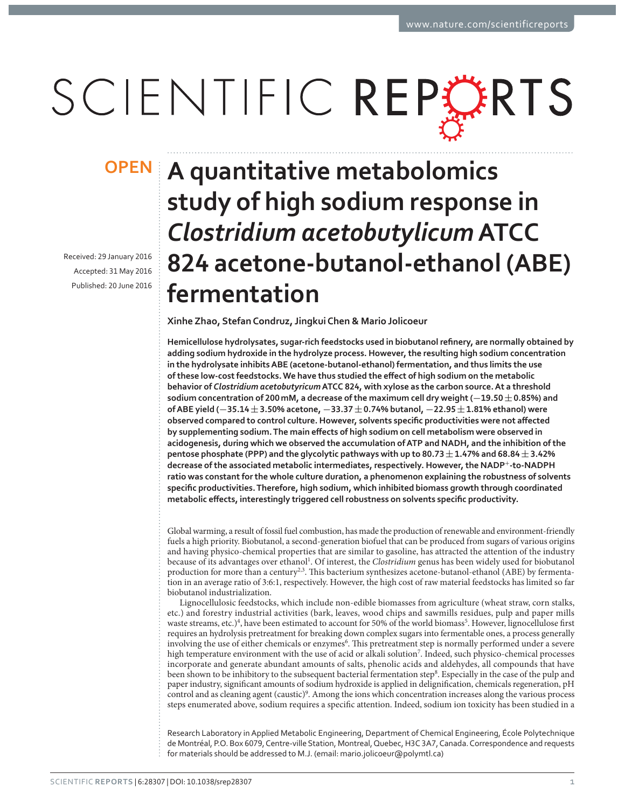# SCIENTIFIC REPORTS

Received: 29 January 2016 Accepted: 31 May 2016 Published: 20 June 2016

## **OPEN A quantitative metabolomics study of high sodium response in**  *Clostridium acetobutylicum* **ATCC**  824 acetone-butanol-ethanol (ABE) **fermentation**

**Xinhe Zhao, Stefan Condruz, Jingkui Chen & Mario Jolicoeur**

Hemicellulose hydrolysates, sugar-rich feedstocks used in biobutanol refinery, are normally obtained by **adding sodium hydroxide in the hydrolyze process. However, the resulting high sodium concentration**  in the hydrolysate inhibits ABE (acetone-butanol-ethanol) fermentation, and thus limits the use of these low-cost feedstocks. We have thus studied the effect of high sodium on the metabolic behavior of *Clostridium acetobutyricum* ATCC 824, with xylose as the carbon source. At a threshold **and** sodium concentration of 200 mM, a decrease of the maximum cell dry weight (-19.50  $\pm$  0.85%) and **of ABE yield (-35.14**  $\pm$  **3.50% acetone, -33.37**  $\pm$  **0.74% butanol, -22.95**  $\pm$  **1.81% ethanol) were** observed compared to control culture. However, solvents specific productivities were not affected by supplementing sodium. The main effects of high sodium on cell metabolism were observed in **acidogenesis, during which we observed the accumulation of ATP and NADH, and the inhibition of the**  pentose phosphate (PPP) and the glycolytic pathways with up to  $80.73 \pm 1.47\%$  and  $68.84 \pm 3.42\%$ **decrease of the associated metabolic intermediates, respectively. However, the NADP<sup>+</sup>ǦǦ ratio was constant for the whole culture duration, a phenomenon explaining the robustness of solvents**  specific productivities. Therefore, high sodium, which inhibited biomass growth through coordinated metabolic effects, interestingly triggered cell robustness on solvents specific productivity.

Global warming, a result of fossil fuel combustion, has made the production of renewable and environment-friendly fuels a high priority. Biobutanol, a second-generation biofuel that can be produced from sugars of various origins and having physico-chemical properties that are similar to gasoline, has attracted the attention of the industry because of its advantages over ethanol<sup>1</sup>. Of interest, the *Clostridium* genus has been widely used for biobutanol production for more than a century<sup>2,3</sup>. This bacterium synthesizes acetone-butanol-ethanol (ABE) by fermentation in an average ratio of 3:6:1, respectively. However, the high cost of raw material feedstocks has limited so far biobutanol industrialization.

Lignocellulosic feedstocks, which include non-edible biomasses from agriculture (wheat straw, corn stalks, etc.) and forestry industrial activities (bark, leaves, wood chips and sawmills residues, pulp and paper mills waste streams, etc.)<sup>4</sup>, have been estimated to account for 50% of the world biomass<sup>5</sup>. However, lignocellulose first requires an hydrolysis pretreatment for breaking down complex sugars into fermentable ones, a process generally involving the use of either chemicals or enzymes<sup>6</sup>. This pretreatment step is normally performed under a severe high temperature environment with the use of acid or alkali solution<sup>7</sup>. Indeed, such physico-chemical processes incorporate and generate abundant amounts of salts, phenolic acids and aldehydes, all compounds that have been shown to be inhibitory to the subsequent bacterial fermentation step<sup>8</sup>. Especially in the case of the pulp and paper industry, significant amounts of sodium hydroxide is applied in delignification, chemicals regeneration, pH control and as cleaning agent (caustic)<sup>9</sup>. Among the ions which concentration increases along the various process steps enumerated above, sodium requires a specific attention. Indeed, sodium ion toxicity has been studied in a

Research Laboratory in Applied Metabolic Engineering, Department of Chemical Engineering, École Polytechnique de Montréal, P.O. Box 6079, Centre-ville Station, Montreal, Quebec, H3C 3A7, Canada. Correspondence and requests for materials should be addressed to M.J. (email: mario.jolicoeur@polymtl.ca)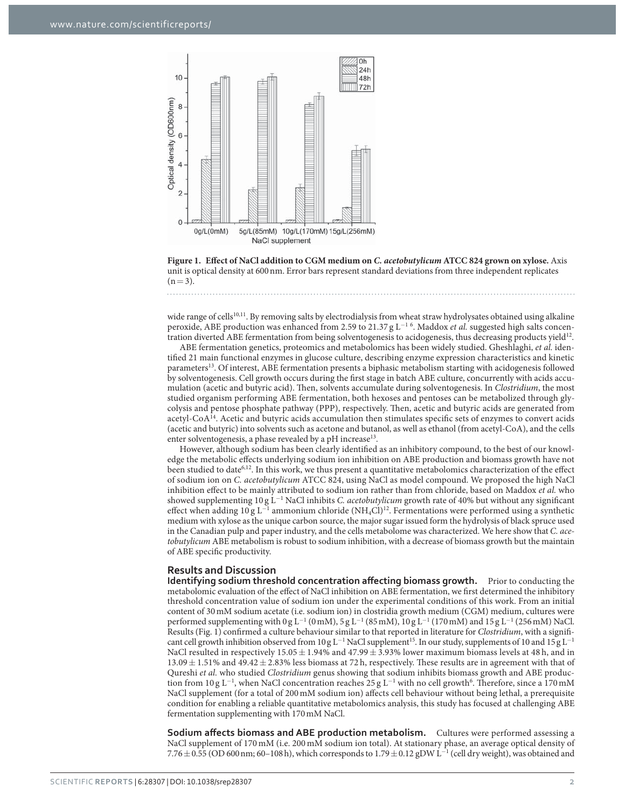

**Figure 1. Effect of NaCl addition to CGM medium on** *C. acetobutylicum* **ATCC 824 grown on xylose.** Axis unit is optical density at 600 nm. Error bars represent standard deviations from three independent replicates  $(n = 3)$ .

wide range of cells<sup>10,11</sup>. By removing salts by electrodialysis from wheat straw hydrolysates obtained using alkaline peroxide, ABE production was enhanced from 2.59 to 21.37 g L<sup>−1 6</sup>. Maddox *et al.* suggested high salts concentration diverted ABE fermentation from being solventogenesis to acidogenesis, thus decreasing products yield12.

ABE fermentation genetics, proteomics and metabolomics has been widely studied. Gheshlaghi, *et al.* identified 21 main functional enzymes in glucose culture, describing enzyme expression characteristics and kinetic parameters13. Of interest, ABE fermentation presents a biphasic metabolism starting with acidogenesis followed by solventogenesis. Cell growth occurs during the first stage in batch ABE culture, concurrently with acids accumulation (acetic and butyric acid). Then, solvents accumulate during solventogenesis. In *Clostridium*, the most studied organism performing ABE fermentation, both hexoses and pentoses can be metabolized through glycolysis and pentose phosphate pathway (PPP), respectively. Then, acetic and butyric acids are generated from acetyl-CoA14. Acetic and butyric acids accumulation then stimulates specific sets of enzymes to convert acids (acetic and butyric) into solvents such as acetone and butanol, as well as ethanol (from acetyl-CoA), and the cells enter solventogenesis, a phase revealed by a pH increase $^{13}$ .

However, although sodium has been clearly identified as an inhibitory compound, to the best of our knowledge the metabolic effects underlying sodium ion inhibition on ABE production and biomass growth have not been studied to date<sup>6,12</sup>. In this work, we thus present a quantitative metabolomics characterization of the effect of sodium ion on *C. acetobutylicum* ATCC 824, using NaCl as model compound. We proposed the high NaCl inhibition effect to be mainly attributed to sodium ion rather than from chloride, based on Maddox *et al.* who showed supplementing 10 g L<sup>−</sup><sup>1</sup> NaCl inhibits *C. acetobutylicum* growth rate of 40% but without any significant effect when adding 10 g L<sup>-1</sup> ammonium chloride (NH<sub>4</sub>Cl)<sup>12</sup>. Fermentations were performed using a synthetic medium with xylose as the unique carbon source, the major sugar issued form the hydrolysis of black spruce used in the Canadian pulp and paper industry, and the cells metabolome was characterized. We here show that *C. acetobutylicum* ABE metabolism is robust to sodium inhibition, with a decrease of biomass growth but the maintain of ABE specific productivity.

#### **Results and Discussion**

. . . . . . . . . .

**Identifying sodium threshold concentration affecting biomass growth.** Prior to conducting the metabolomic evaluation of the effect of NaCl inhibition on ABE fermentation, we first determined the inhibitory threshold concentration value of sodium ion under the experimental conditions of this work. From an initial content of 30 mM sodium acetate (i.e. sodium ion) in clostridia growth medium (CGM) medium, cultures were performed supplementing with  $0$  g L<sup>-1</sup> (0 mM), 5 g L<sup>-1</sup> (85 mM),  $10$  g L<sup>-1</sup> (170 mM) and  $15$  g L<sup>-1</sup> (256 mM) NaCl. Results (Fig. 1) confirmed a culture behaviour similar to that reported in literature for *Clostridium*, with a significant cell growth inhibition observed from  $10 g L^{-1}$  NaCl supplement<sup>15</sup>. In our study, supplements of 10 and 15 g L<sup>−1</sup> NaCl resulted in respectively  $15.05 \pm 1.94\%$  and  $47.99 \pm 3.93\%$  lower maximum biomass levels at 48 h, and in 13.09 ± 1.51% and 49.42 ± 2.83% less biomass at 72 h, respectively. These results are in agreement with that of Qureshi *et al.* who studied *Clostridium* genus showing that sodium inhibits biomass growth and ABE production from  $10 g L^{-1}$ , when NaCl concentration reaches 25 g L<sup>-1</sup> with no cell growth<sup>6</sup>. Therefore, since a 170 mM NaCl supplement (for a total of 200 mM sodium ion) affects cell behaviour without being lethal, a prerequisite condition for enabling a reliable quantitative metabolomics analysis, this study has focused at challenging ABE fermentation supplementing with 170 mM NaCl.

**Sodium affects biomass and ABE production metabolism.** Cultures were performed assessing a NaCl supplement of 170 mM (i.e. 200 mM sodium ion total). At stationary phase, an average optical density of 7.76±0.55 (OD 600 nm; 60–108 h), which corresponds to 1.79±0.12 gDW L<sup>−1</sup> (cell dry weight), was obtained and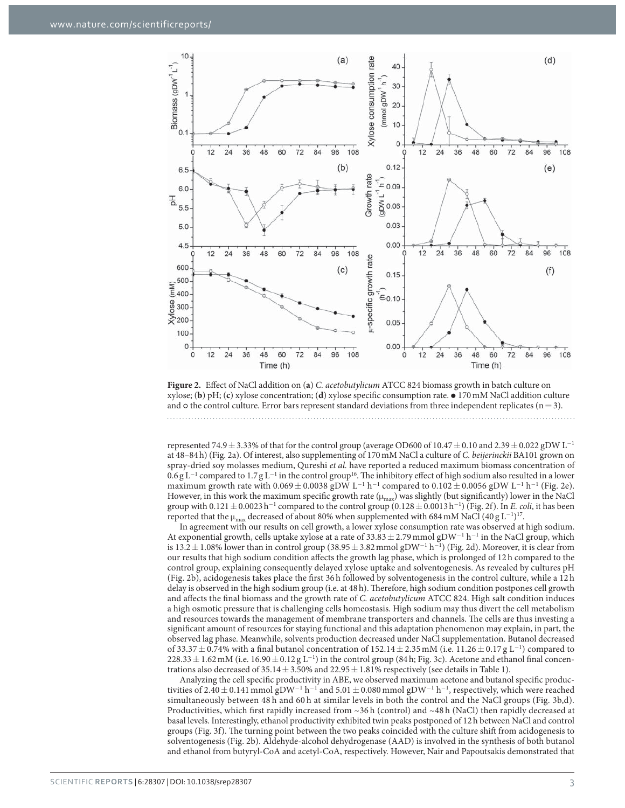

**Figure 2.** Effect of NaCl addition on (**a**) *C. acetobutylicum* ATCC 824 biomass growth in batch culture on xylose; (**b**) pH; (**c**) xylose concentration; (**d**) xylose specific consumption rate. ⦁ 170 mM NaCl addition culture and  $\circ$  the control culture. Error bars represent standard deviations from three independent replicates ( $n = 3$ ).

represented 74.9 ± 3.33% of that for the control group (average OD600 of 10.47 ± 0.10 and 2.39 ± 0.022 gDW L<sup>−</sup><sup>1</sup> at 48–84 h) (Fig. 2a). Of interest, also supplementing of 170 mM NaCl a culture of *C. beijerinckii* BA101 grown on spray-dried soy molasses medium, Qureshi *et al.* have reported a reduced maximum biomass concentration of  $0.6$  g L<sup>-1</sup> compared to  $1.7$  g L<sup>-1</sup> in the control group<sup>16</sup>. The inhibitory effect of high sodium also resulted in a lower maximum growth rate with  $0.069 \pm 0.0038$  gDW L<sup>-1</sup> h<sup>-1</sup> compared to  $0.102 \pm 0.0056$  gDW L<sup>-1</sup> h<sup>-1</sup> (Fig. 2e). However, in this work the maximum specific growth rate  $(\mu_{max})$  was slightly (but significantly) lower in the NaCl group with  $0.121 \pm 0.0023$  h<sup>-1</sup> compared to the control group  $(0.128 \pm 0.0013$  h<sup>-1</sup>) (Fig. 2f). In *E. coli*, it has been reported that the  $\mu_{\max}$  decreased of about 80% when supplemented with 684 mM NaCl (40 g L<sup>-1</sup>)<sup>17</sup>.

In agreement with our results on cell growth, a lower xylose consumption rate was observed at high sodium. At exponential growth, cells uptake xylose at a rate of 33.83  $\pm$  2.79 mmol gDW<sup>-1</sup> h<sup>-1</sup> in the NaCl group, which is 13.2 ± 1.08% lower than in control group (38.95 ± 3.82 mmol gDW<sup>-1</sup> h<sup>-1</sup>) (Fig. 2d). Moreover, it is clear from our results that high sodium condition affects the growth lag phase, which is prolonged of 12 h compared to the control group, explaining consequently delayed xylose uptake and solventogenesis. As revealed by cultures pH (Fig. 2b), acidogenesis takes place the first 36 h followed by solventogenesis in the control culture, while a 12 h delay is observed in the high sodium group (i.e. at 48 h). Therefore, high sodium condition postpones cell growth and affects the final biomass and the growth rate of *C. acetobutylicum* ATCC 824. High salt condition induces a high osmotic pressure that is challenging cells homeostasis. High sodium may thus divert the cell metabolism and resources towards the management of membrane transporters and channels. The cells are thus investing a significant amount of resources for staying functional and this adaptation phenomenon may explain, in part, the observed lag phase. Meanwhile, solvents production decreased under NaCl supplementation. Butanol decreased of 33.37  $\pm$  0.74% with a final butanol concentration of 152.14  $\pm$  2.35 mM (i.e. 11.26  $\pm$  0.17 g L<sup>-1</sup>) compared to  $228.33 \pm 1.62$  mM (i.e.  $16.90 \pm 0.12$  g L<sup>-1</sup>) in the control group (84 h; Fig. 3c). Acetone and ethanol final concentrations also decreased of 35.14  $\pm$  3.50% and 22.95  $\pm$  1.81% respectively (see details in Table 1).

Analyzing the cell specific productivity in ABE, we observed maximum acetone and butanol specific productivities of 2.40  $\pm$  0.141 mmol gDW<sup>−1</sup> h<sup>−1</sup> and 5.01  $\pm$  0.080 mmol gDW<sup>−1</sup> h<sup>−1</sup>, respectively, which were reached simultaneously between 48 h and 60 h at similar levels in both the control and the NaCl groups (Fig. 3b,d). Productivities, which first rapidly increased from ~36 h (control) and ~48 h (NaCl) then rapidly decreased at basal levels. Interestingly, ethanol productivity exhibited twin peaks postponed of 12 h between NaCl and control groups (Fig. 3f). The turning point between the two peaks coincided with the culture shift from acidogenesis to solventogenesis (Fig. 2b). Aldehyde-alcohol dehydrogenase (AAD) is involved in the synthesis of both butanol and ethanol from butyryl-CoA and acetyl-CoA, respectively. However, Nair and Papoutsakis demonstrated that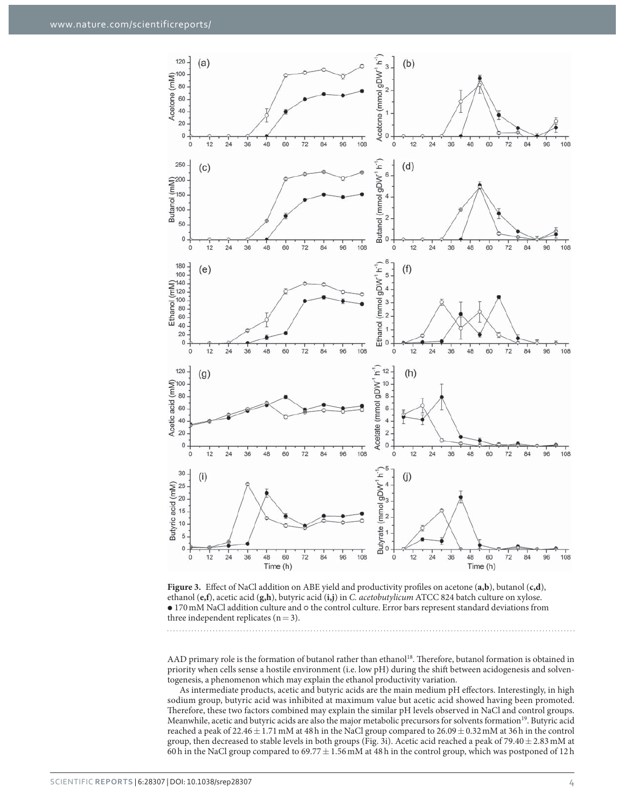

**Figure 3.** Effect of NaCl addition on ABE yield and productivity profiles on acetone (**a,b**), butanol (**c,d**), ethanol (**e,f**), acetic acid (**g,h**), butyric acid (**i,j**) in *C. acetobutylicum* ATCC 824 batch culture on xylose.  $\bullet$  170 mM NaCl addition culture and  $\circ$  the control culture. Error bars represent standard deviations from three independent replicates  $(n=3)$ .

AAD primary role is the formation of butanol rather than ethanol<sup>18</sup>. Therefore, butanol formation is obtained in priority when cells sense a hostile environment (i.e. low pH) during the shift between acidogenesis and solventogenesis, a phenomenon which may explain the ethanol productivity variation.

As intermediate products, acetic and butyric acids are the main medium pH effectors. Interestingly, in high sodium group, butyric acid was inhibited at maximum value but acetic acid showed having been promoted. Therefore, these two factors combined may explain the similar pH levels observed in NaCl and control groups. Meanwhile, acetic and butyric acids are also the major metabolic precursors for solvents formation<sup>19</sup>. Butyric acid reached a peak of 22.46  $\pm$  1.71 mM at 48 h in the NaCl group compared to 26.09  $\pm$  0.32 mM at 36 h in the control group, then decreased to stable levels in both groups (Fig. 3i). Acetic acid reached a peak of 79.40  $\pm$  2.83 mM at 60 h in the NaCl group compared to  $69.77 \pm 1.56$  mM at 48 h in the control group, which was postponed of 12 h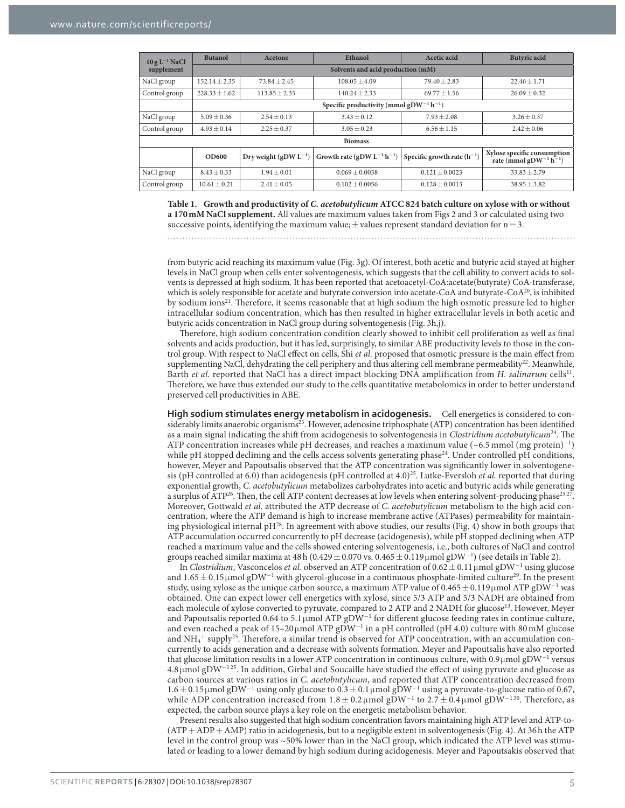| $10 g L^{-1}$ NaCl | <b>Butanol</b>                                                  | Acetone                    | Ethanol                                     | Acetic acid                     | <b>Butyric</b> acid                                                           |  |  |
|--------------------|-----------------------------------------------------------------|----------------------------|---------------------------------------------|---------------------------------|-------------------------------------------------------------------------------|--|--|
| supplement         | Solvents and acid production (mM)                               |                            |                                             |                                 |                                                                               |  |  |
| NaCl group         | $152.14 + 2.35$                                                 | $73.84 + 2.45$             | $108.05 + 4.09$                             | $79.40 \pm 2.83$                | $22.46 + 1.71$                                                                |  |  |
| Control group      | $228.33 \pm 1.62$                                               | $113.85 + 2.35$            | $140.24 + 2.33$                             | $69.77 + 1.56$                  | $26.09 + 0.32$                                                                |  |  |
|                    | Specific productivity (mmol gDW <sup>-1</sup> h <sup>-1</sup> ) |                            |                                             |                                 |                                                                               |  |  |
| NaCl group         | $5.09 + 0.36$                                                   | $2.54 + 0.13$              | $3.43 + 0.12$                               | $7.93 \pm 2.08$                 | $3.26 + 0.37$                                                                 |  |  |
| Control group      | $4.93 \pm 0.14$                                                 | $2.25 \pm 0.37$            | $3.05 + 0.23$                               | $6.56 \pm 1.15$                 | $2.42 + 0.06$                                                                 |  |  |
| <b>Biomass</b>     |                                                                 |                            |                                             |                                 |                                                                               |  |  |
|                    | <b>OD600</b>                                                    | Dry weight (gDW $L^{-1}$ ) | Growth rate (gDW $L^{-1}$ h <sup>-1</sup> ) | Specific growth rate $(h^{-1})$ | Xylose specific consumption<br>rate (mmol gDW <sup>-1</sup> h <sup>-1</sup> ) |  |  |
| NaCl group         | $8.43 \pm 0.33$                                                 | $1.94 \pm 0.01$            | $0.069 + 0.0038$                            | $0.121 \pm 0.0023$              | $33.83 \pm 2.79$                                                              |  |  |
| Control group      | $10.61 + 0.21$                                                  | $2.41 \pm 0.05$            | $0.102 \pm 0.0056$                          | $0.128 \pm 0.0013$              | $38.95 \pm 3.82$                                                              |  |  |

**Table 1. Growth and productivity of** *C. acetobutylicum* **ATCC 824 batch culture on xylose with or without a 170 mM NaCl supplement.** All values are maximum values taken from Figs 2 and 3 or calculated using two successive points, identifying the maximum value;  $\pm$  values represent standard deviation for  $n = 3$ .

from butyric acid reaching its maximum value (Fig. 3g). Of interest, both acetic and butyric acid stayed at higher levels in NaCl group when cells enter solventogenesis, which suggests that the cell ability to convert acids to solvents is depressed at high sodium. It has been reported that acetoacetyl-CoA:acetate(butyrate) CoA-transferase, which is solely responsible for acetate and butyrate conversion into acetate-CoA and butyrate-CoA<sup>20</sup>, is inhibited by sodium ions21. Therefore, it seems reasonable that at high sodium the high osmotic pressure led to higher intracellular sodium concentration, which has then resulted in higher extracellular levels in both acetic and butyric acids concentration in NaCl group during solventogenesis (Fig. 3h,j).

Therefore, high sodium concentration condition clearly showed to inhibit cell proliferation as well as final solvents and acids production, but it has led, surprisingly, to similar ABE productivity levels to those in the control group. With respect to NaCl effect on cells, Shi *et al.* proposed that osmotic pressure is the main effect from supplementing NaCl, dehydrating the cell periphery and thus altering cell membrane permeability<sup>22</sup>. Meanwhile, Barth *et al.* reported that NaCl has a direct impact blocking DNA amplification from *H. salinarum* cells<sup>11</sup>. Therefore, we have thus extended our study to the cells quantitative metabolomics in order to better understand preserved cell productivities in ABE.

**High sodium stimulates energy metabolism in acidogenesis.** Cell energetics is considered to considerably limits anaerobic organisms<sup>23</sup>. However, adenosine triphosphate (ATP) concentration has been identified as a main signal indicating the shift from acidogenesis to solventogenesis in *Clostridium acetobutylicum*<sup>24</sup>. The ATP concentration increases while pH decreases, and reaches a maximum value (~6.5 mmol (mg protein)<sup>−</sup><sup>1</sup> ) while pH stopped declining and the cells access solvents generating phase<sup>24</sup>. Under controlled pH conditions, however, Meyer and Papoutsalis observed that the ATP concentration was significantly lower in solventogenesis (pH controlled at 6.0) than acidogenesis (pH controlled at 4.0)<sup>25</sup>. Lutke-Eversloh *et al.* reported that during exponential growth, *C. acetobutylicum* metabolizes carbohydrates into acetic and butyric acids while generating a surplus of ATP<sup>26</sup>. Then, the cell ATP content decreases at low levels when entering solvent-producing phase<sup>25,27</sup>. Moreover, Gottwald *et al.* attributed the ATP decrease of *C. acetobutylicum* metabolism to the high acid concentration, where the ATP demand is high to increase membrane active (ATPases) permeability for maintaining physiological internal pH<sup>28</sup>. In agreement with above studies, our results (Fig. 4) show in both groups that ATP accumulation occurred concurrently to pH decrease (acidogenesis), while pH stopped declining when ATP reached a maximum value and the cells showed entering solventogenesis, i.e., both cultures of NaCl and control groups reached similar maxima at 48 h (0.429  $\pm$  0.070 vs. 0.465  $\pm$  0.119µmol gDW<sup>−1</sup>) (see details in Table 2).

In *Clostridium*, Vasconcelos *et al.* observed an ATP concentration of 0.62 ± 0.11 µmol gDW<sup>-1</sup> using glucose and  $1.65 \pm 0.15$ µmol gDW<sup>-1</sup> with glycerol-glucose in a continuous phosphate-limited culture<sup>29</sup>. In the present study, using xylose as the unique carbon source, a maximum ATP value of  $0.465 \pm 0.119$ µmol ATP gDW<sup>-1</sup> was obtained. One can expect lower cell energetics with xylose, since 5/3 ATP and 5/3 NADH are obtained from each molecule of xylose converted to pyruvate, compared to 2 ATP and 2 NADH for glucose<sup>13</sup>. However, Meyer and Papoutsalis reported 0.64 to 5.1 µmol ATP gDW<sup>-1</sup> for different glucose feeding rates in continue culture, and even reached a peak of 15–20µmol ATP  $gDW^{-1}$  in a pH controlled (pH 4.0) culture with 80 mM glucose and  $NH_4^+$  supply<sup>25</sup>. Therefore, a similar trend is observed for ATP concentration, with an accumulation concurrently to acids generation and a decrease with solvents formation. Meyer and Papoutsalis have also reported that glucose limitation results in a lower ATP concentration in continuous culture, with 0.9µmol gDW<sup>−1</sup> versus 4.8 μ mol gDW<sup>−</sup>1 25. In addition, Girbal and Soucaille have studied the effect of using pyruvate and glucose as carbon sources at various ratios in *C. acetobutylicum*, and reported that ATP concentration decreased from 1.6 ± 0.15 μmol gDW<sup>-1</sup> using only glucose to 0.3 ± 0.1 μmol gDW<sup>-1</sup> using a pyruvate-to-glucose ratio of 0.67, while ADP concentration increased from  $1.8 \pm 0.2$ µmol gDW<sup>−1</sup> to  $2.7 \pm 0.4$ µmol gDW<sup>−130</sup>. Therefore, as expected, the carbon source plays a key role on the energetic metabolism behavior.

Present results also suggested that high sodium concentration favors maintaining high ATP level and ATP-to- (ATP + ADP + AMP) ratio in acidogenesis, but to a negligible extent in solventogenesis (Fig. 4). At 36 h the ATP level in the control group was ~50% lower than in the NaCl group, which indicated the ATP level was stimulated or leading to a lower demand by high sodium during acidogenesis. Meyer and Papoutsakis observed that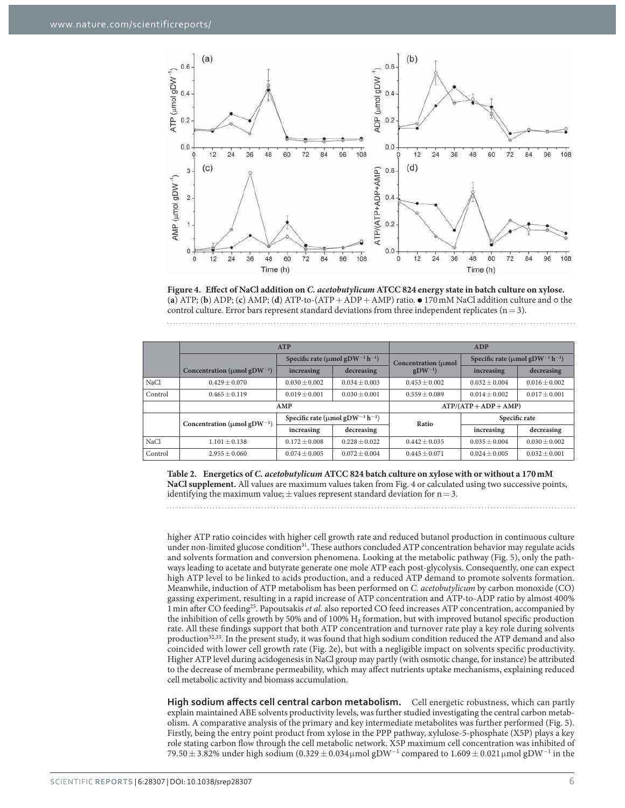

**Figure 4. Effect of NaCl addition on** *C. acetobutylicum* **ATCC 824 energy state in batch culture on xylose.**  (**a**) ATP; (**b**) ADP; (**c**) AMP; (**d**) ATP-to-(ATP + ADP + AMP) ratio. ⦁ 170 mM NaCl addition culture and ⚬ the control culture. Error bars represent standard deviations from three independent replicates ( $n = 3$ ).

|         | <b>ATP</b>                                    | ADP                                                           |                 |                     |                                                               |                   |  |
|---------|-----------------------------------------------|---------------------------------------------------------------|-----------------|---------------------|---------------------------------------------------------------|-------------------|--|
|         |                                               | Specific rate ( $\mu$ mol gDW <sup>-1</sup> h <sup>-1</sup> ) |                 | Concentration (µmol | Specific rate ( $\mu$ mol gDW <sup>-1</sup> h <sup>-1</sup> ) |                   |  |
|         | Concentration ( $\mu$ mol gDW <sup>-1</sup> ) | increasing                                                    | decreasing      | $gDW^{-1}$          | increasing                                                    | decreasing        |  |
| NaCl    | $0.429 + 0.070$                               | $0.030 + 0.002$                                               | $0.034 + 0.003$ | $0.453 + 0.002$     | $0.032 + 0.004$                                               | $0.016 \pm 0.002$ |  |
| Control | $0.465 + 0.119$                               | $0.019 + 0.001$                                               | $0.030 + 0.001$ | $0.559 + 0.089$     | $0.014 + 0.002$                                               | $0.017 + 0.001$   |  |
|         | AMP                                           |                                                               |                 | $ATP/(ATP+ADP+AMP)$ |                                                               |                   |  |
|         | Concentration ( $\mu$ mol gDW <sup>-1</sup> ) | Specific rate ( $\mu$ mol gDW <sup>-1</sup> h <sup>-1</sup> ) |                 | Ratio               | Specific rate                                                 |                   |  |
|         |                                               | increasing                                                    | decreasing      |                     | increasing                                                    | decreasing        |  |
| NaCl    | $1.101 + 0.138$                               | $0.172 + 0.008$                                               | $0.228 + 0.022$ | $0.442 + 0.035$     | $0.035 + 0.004$                                               | $0.030 + 0.002$   |  |
| Control | $2.955 + 0.060$                               | $0.074 \pm 0.005$                                             | $0.072 + 0.004$ | $0.445 + 0.071$     | $0.024 + 0.005$                                               | $0.032 \pm 0.001$ |  |

**Table 2. Energetics of** *C. acetobutylicum* **ATCC 824 batch culture on xylose with or without a 170 mM NaCl supplement.** All values are maximum values taken from Fig. 4 or calculated using two successive points, identifying the maximum value;  $\pm$  values represent standard deviation for  $n = 3$ .

higher ATP ratio coincides with higher cell growth rate and reduced butanol production in continuous culture under non-limited glucose condition<sup>31</sup>. These authors concluded ATP concentration behavior may regulate acids and solvents formation and conversion phenomena. Looking at the metabolic pathway (Fig. 5), only the pathways leading to acetate and butyrate generate one mole ATP each post-glycolysis. Consequently, one can expect high ATP level to be linked to acids production, and a reduced ATP demand to promote solvents formation. Meanwhile, induction of ATP metabolism has been performed on *C. acetobutylicum* by carbon monoxide (CO) gassing experiment, resulting in a rapid increase of ATP concentration and ATP-to-ADP ratio by almost 400% 1 min after CO feeding25. Papoutsakis *et al.* also reported CO feed increases ATP concentration, accompanied by the inhibition of cells growth by 50% and of 100% H<sub>2</sub> formation, but with improved butanol specific production rate. All these findings support that both ATP concentration and turnover rate play a key role during solvents production<sup>32,33</sup>. In the present study, it was found that high sodium condition reduced the ATP demand and also coincided with lower cell growth rate (Fig. 2e), but with a negligible impact on solvents specific productivity. Higher ATP level during acidogenesis in NaCl group may partly (with osmotic change, for instance) be attributed to the decrease of membrane permeability, which may affect nutrients uptake mechanisms, explaining reduced cell metabolic activity and biomass accumulation.

**High sodium affects cell central carbon metabolism.** Cell energetic robustness, which can partly explain maintained ABE solvents productivity levels, was further studied investigating the central carbon metabolism. A comparative analysis of the primary and key intermediate metabolites was further performed (Fig. 5). Firstly, being the entry point product from xylose in the PPP pathway, xylulose-5-phosphate (X5P) plays a key role stating carbon flow through the cell metabolic network. X5P maximum cell concentration was inhibited of 79.50 ± 3.82% under high sodium (0.329 ± 0.034µmol gDW<sup>-1</sup> compared to 1.609 ± 0.021µmol gDW<sup>-1</sup> in the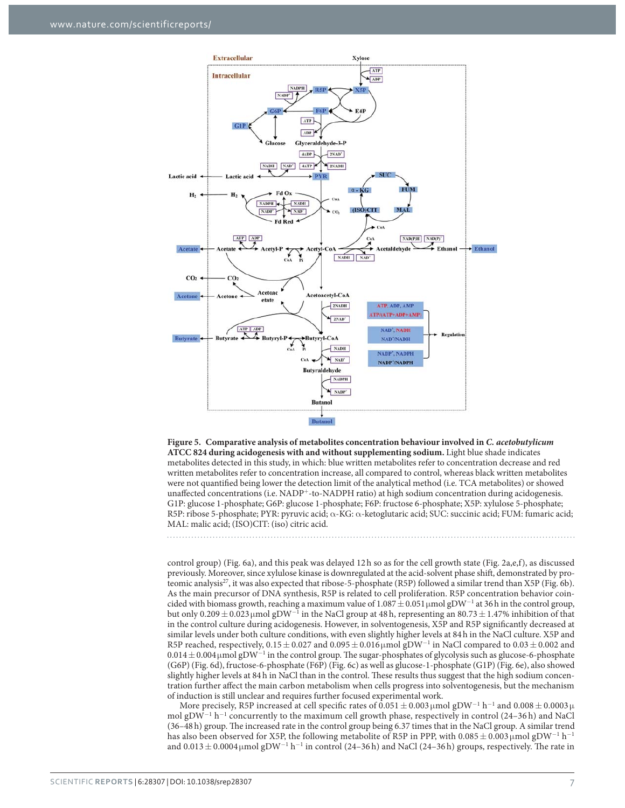



control group) (Fig. 6a), and this peak was delayed 12h so as for the cell growth state (Fig. 2a,e,f), as discussed previously. Moreover, since xylulose kinase is downregulated at the acid-solvent phase shift, demonstrated by proteomic analysis<sup>27</sup>, it was also expected that ribose-5-phosphate (R5P) followed a similar trend than X5P (Fig. 6b). As the main precursor of DNA synthesis, R5P is related to cell proliferation. R5P concentration behavior coincided with biomass growth, reaching a maximum value of  $1.087 \pm 0.051$  µmol gDW<sup>−1</sup> at 36h in the control group, but only  $0.209 \pm 0.023 \,\mu$  mol gDW<sup>-1</sup> in the NaCl group at 48 h, representing an  $80.73 \pm 1.47\%$  inhibition of that in the control culture during acidogenesis. However, in solventogenesis, X5P and R5P significantly decreased at similar levels under both culture conditions, with even slightly higher levels at 84 h in the NaCl culture. X5P and R5P reached, respectively,  $0.15 \pm 0.027$  and  $0.095 \pm 0.016$  µmol gDW<sup>-1</sup> in NaCl compared to  $0.03 \pm 0.002$  and  $0.014 \pm 0.004$  µmol gDW<sup>-1</sup> in the control group. The sugar-phosphates of glycolysis such as glucose-6-phosphate (G6P) (Fig. 6d), fructose-6-phosphate (F6P) (Fig. 6c) as well as glucose-1-phosphate (G1P) (Fig. 6e), also showed slightly higher levels at 84 h in NaCl than in the control. These results thus suggest that the high sodium concentration further affect the main carbon metabolism when cells progress into solventogenesis, but the mechanism of induction is still unclear and requires further focused experimental work.

More precisely, R5P increased at cell specific rates of 0.051  $\pm$  0.003 µmol gDW<sup>−1</sup> h<sup>−1</sup> and 0.008  $\pm$  0.0003 µ mol gDW<sup>-1</sup> h<sup>-1</sup> concurrently to the maximum cell growth phase, respectively in control (24–36 h) and NaCl (36–48 h) group. The increased rate in the control group being 6.37 times that in the NaCl group. A similar trend has also been observed for X5P, the following metabolite of R5P in PPP, with 0.085  $\pm$  0.003µmol gDW $^{-1}$  h $^{-1}$ and  $0.013 \pm 0.0004 \,\mu$ mol gDW<sup>-1</sup> h<sup>-1</sup> in control (24–36 h) and NaCl (24–36 h) groups, respectively. The rate in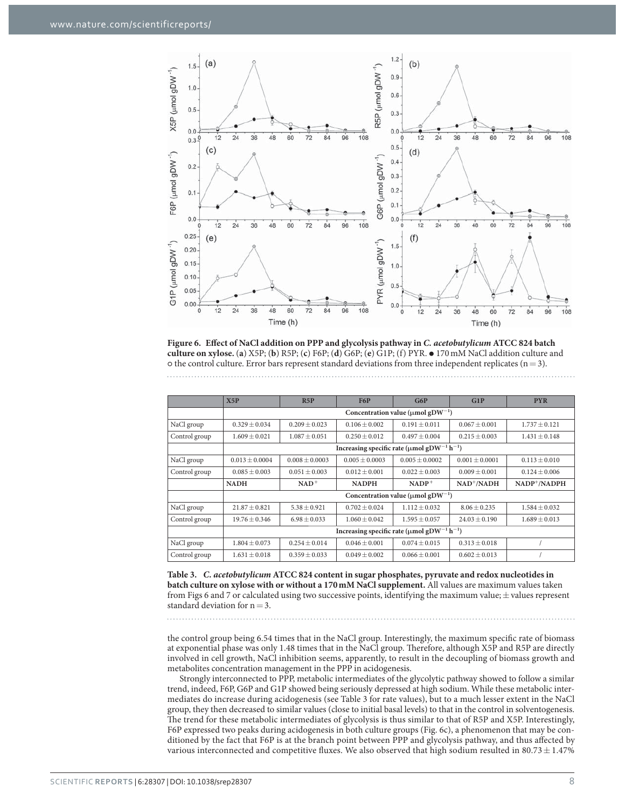

**Figure 6. Effect of NaCl addition on PPP and glycolysis pathway in** *C. acetobutylicum* **ATCC 824 batch culture on xylose.** (**a**) X5P; (**b**) R5P; (**c**) F6P; (**d**) G6P; (**e**) G1P; (f) PYR. ⦁ 170 mM NaCl addition culture and  $\circ$  the control culture. Error bars represent standard deviations from three independent replicates (n = 3).

|               | X5P                                                                      | R5P               | <b>F6P</b>        | G6P               | G1P                | <b>PYR</b>        |
|---------------|--------------------------------------------------------------------------|-------------------|-------------------|-------------------|--------------------|-------------------|
|               | Concentration value ( $\mu$ mol gDW <sup>-1</sup> )                      |                   |                   |                   |                    |                   |
| NaCl group    | $0.329 \pm 0.034$                                                        | $0.209 + 0.023$   | $0.106 \pm 0.002$ | $0.191 + 0.011$   | $0.067 \pm 0.001$  | $1.737 \pm 0.121$ |
| Control group | $1.609 + 0.021$                                                          | $1.087 + 0.051$   | $0.250 + 0.012$   | $0.497 + 0.004$   | $0.215 + 0.003$    | $1.431 \pm 0.148$ |
|               | Increasing specific rate ( $\mu$ mol gDW <sup>-1</sup> h <sup>-1</sup> ) |                   |                   |                   |                    |                   |
| NaCl group    | $0.013 + 0.0004$                                                         | $0.008 + 0.0003$  | $0.005 + 0.0003$  | $0.005 + 0.0002$  | $0.001 \pm 0.0001$ | $0.113 \pm 0.010$ |
| Control group | $0.085 + 0.003$                                                          | $0.051 + 0.003$   | $0.012 + 0.001$   | $0.022 + 0.003$   | $0.009 + 0.001$    | $0.124 + 0.006$   |
|               | <b>NADH</b>                                                              | $NAD+$            | <b>NADPH</b>      | $NADP+$           | $NAD^+/NADH$       | NADP+/NADPH       |
|               | Concentration value ( $\mu$ mol gDW <sup>-1</sup> )                      |                   |                   |                   |                    |                   |
| NaCl group    | $21.87 + 0.821$                                                          | $5.38 + 0.921$    | $0.702 + 0.024$   | $1.112 + 0.032$   | $8.06 + 0.235$     | $1.584 + 0.032$   |
| Control group | $19.76 \pm 0.346$                                                        | $6.98 \pm 0.033$  | $1.060 \pm 0.042$ | $1.595 \pm 0.057$ | $24.03 \pm 0.190$  | $1.689 \pm 0.013$ |
|               | Increasing specific rate ( $\mu$ mol gDW <sup>-1</sup> h <sup>-1</sup> ) |                   |                   |                   |                    |                   |
| NaCl group    | $1.804 + 0.073$                                                          | $0.254 + 0.014$   | $0.046 + 0.001$   | $0.074 + 0.015$   | $0.313 + 0.018$    |                   |
| Control group | $1.631 \pm 0.018$                                                        | $0.359 \pm 0.033$ | $0.049 \pm 0.002$ | $0.066 \pm 0.001$ | $0.602 \pm 0.013$  |                   |

**Table 3.** *C. acetobutylicum* **ATCC 824 content in sugar phosphates, pyruvate and redox nucleotides in batch culture on xylose with or without a 170 mM NaCl supplement.** All values are maximum values taken from Figs 6 and 7 or calculated using two successive points, identifying the maximum value; ± values represent standard deviation for  $n = 3$ .

the control group being 6.54 times that in the NaCl group. Interestingly, the maximum specific rate of biomass at exponential phase was only 1.48 times that in the NaCl group. Therefore, although X5P and R5P are directly involved in cell growth, NaCl inhibition seems, apparently, to result in the decoupling of biomass growth and metabolites concentration management in the PPP in acidogenesis.

Strongly interconnected to PPP, metabolic intermediates of the glycolytic pathway showed to follow a similar trend, indeed, F6P, G6P and G1P showed being seriously depressed at high sodium. While these metabolic intermediates do increase during acidogenesis (see Table 3 for rate values), but to a much lesser extent in the NaCl group, they then decreased to similar values (close to initial basal levels) to that in the control in solventogenesis. The trend for these metabolic intermediates of glycolysis is thus similar to that of R5P and X5P. Interestingly, F6P expressed two peaks during acidogenesis in both culture groups (Fig. 6c), a phenomenon that may be conditioned by the fact that F6P is at the branch point between PPP and glycolysis pathway, and thus affected by various interconnected and competitive fluxes. We also observed that high sodium resulted in 80.73  $\pm$  1.47%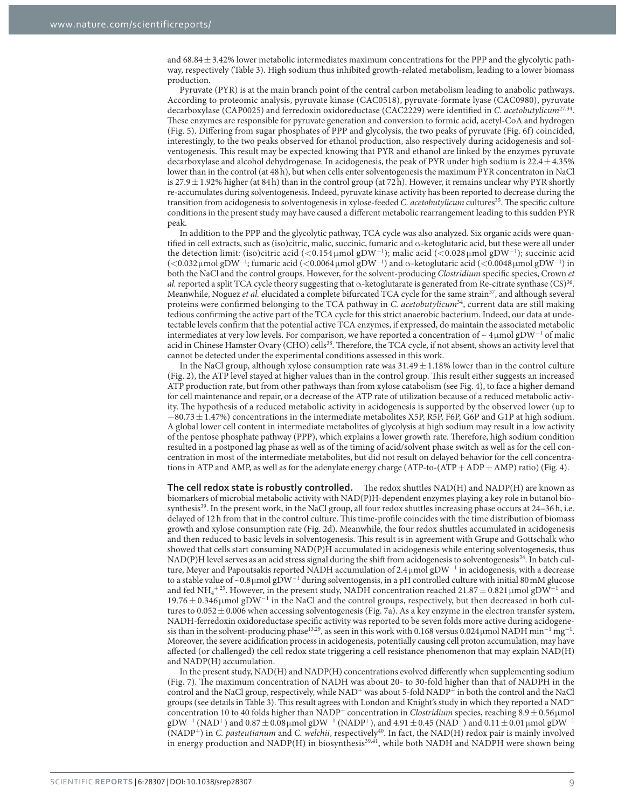and  $68.84 \pm 3.42\%$  lower metabolic intermediates maximum concentrations for the PPP and the glycolytic pathway, respectively (Table 3). High sodium thus inhibited growth-related metabolism, leading to a lower biomass production.

Pyruvate (PYR) is at the main branch point of the central carbon metabolism leading to anabolic pathways. According to proteomic analysis, pyruvate kinase (CAC0518), pyruvate-formate lyase (CAC0980), pyruvate decarboxylase (CAP0025) and ferredoxin oxidoreductase (CAC2229) were identified in *C*. *acetobutylicum*27,34. These enzymes are responsible for pyruvate generation and conversion to formic acid, acetyl-CoA and hydrogen (Fig. 5). Differing from sugar phosphates of PPP and glycolysis, the two peaks of pyruvate (Fig. 6f) coincided, interestingly, to the two peaks observed for ethanol production, also respectively during acidogenesis and solventogenesis. This result may be expected knowing that PYR and ethanol are linked by the enzymes pyruvate decarboxylase and alcohol dehydrogenase. In acidogenesis, the peak of PYR under high sodium is  $22.4 \pm 4.35\%$ lower than in the control (at 48 h), but when cells enter solventogenesis the maximum PYR concentraton in NaCl is 27.9  $\pm$  1.92% higher (at 84 h) than in the control group (at 72 h). However, it remains unclear why PYR shortly re-accumulates during solventogenesis. Indeed, pyruvate kinase activity has been reported to decrease during the transition from acidogenesis to solventogenesis in xylose-feeded *C*. *acetobutylicum* cultures35. The specific culture conditions in the present study may have caused a different metabolic rearrangement leading to this sudden PYR peak.

In addition to the PPP and the glycolytic pathway, TCA cycle was also analyzed. Six organic acids were quantified in cell extracts, such as (iso)citric, malic, succinic, fumaric and  $\alpha$ -ketoglutaric acid, but these were all under the detection limit: (iso)citric acid (<0.154μmol gDW<sup>−1</sup>); malic acid (<0.028μmol gDW<sup>−1</sup>); succinic acid (<0.032 μmol gDW<sup>-1</sup>; fumaric acid (<0.0064 μmol gDW<sup>-1</sup>) and α-ketoglutaric acid (<0.0048 μmol gDW<sup>-1</sup>) in both the NaCl and the control groups. However, for the solvent-producing *Clostridium* specific species, Crown *et al.* reported a split TCA cycle theory suggesting that  $\alpha$ -ketoglutarate is generated from Re-citrate synthase (CS)<sup>36</sup>. Meanwhile, Noguez *et al.* elucidated a complete bifurcated TCA cycle for the same strain<sup>37</sup>, and although several proteins were confirmed belonging to the TCA pathway in *C. acetobutylicum*34, current data are still making tedious confirming the active part of the TCA cycle for this strict anaerobic bacterium. Indeed, our data at undetectable levels confirm that the potential active TCA enzymes, if expressed, do maintain the associated metabolic intermediates at very low levels. For comparison, we have reported a concentration of ~ 4µmol gDW<sup>-1</sup> of malic acid in Chinese Hamster Ovary (CHO) cells<sup>38</sup>. Therefore, the TCA cycle, if not absent, shows an activity level that cannot be detected under the experimental conditions assessed in this work.

In the NaCl group, although xylose consumption rate was  $31.49 \pm 1.18\%$  lower than in the control culture (Fig. 2), the ATP level stayed at higher values than in the control group. This result either suggests an increased ATP production rate, but from other pathways than from xylose catabolism (see Fig. 4), to face a higher demand for cell maintenance and repair, or a decrease of the ATP rate of utilization because of a reduced metabolic activity. The hypothesis of a reduced metabolic activity in acidogenesis is supported by the observed lower (up to  $-80.73 \pm 1.47$ %) concentrations in the intermediate metabolites X5P, R5P, F6P, G6P and G1P at high sodium. A global lower cell content in intermediate metabolites of glycolysis at high sodium may result in a low activity of the pentose phosphate pathway (PPP), which explains a lower growth rate. Therefore, high sodium condition resulted in a postponed lag phase as well as of the timing of acid/solvent phase switch as well as for the cell concentration in most of the intermediate metabolites, but did not result on delayed behavior for the cell concentrations in ATP and AMP, as well as for the adenylate energy charge (ATP-to-(ATP + ADP + AMP) ratio) (Fig. 4).

**The cell redox state is robustly controlled.** The redox shuttles NAD(H) and NADP(H) are known as biomarkers of microbial metabolic activity with NAD(P)H-dependent enzymes playing a key role in butanol biosynthesis<sup>39</sup>. In the present work, in the NaCl group, all four redox shuttles increasing phase occurs at 24–36 h, i.e. delayed of 12 h from that in the control culture. This time-profile coincides with the time distribution of biomass growth and xylose consumption rate (Fig. 2d). Meanwhile, the four redox shuttles accumulated in acidogenesis and then reduced to basic levels in solventogenesis. This result is in agreement with Grupe and Gottschalk who showed that cells start consuming NAD(P)H accumulated in acidogenesis while entering solventogenesis, thus  $NAD(P)$ H level serves as an acid stress signal during the shift from acidogenesis to solventogenesis<sup>24</sup>. In batch culture, Meyer and Papoutsakis reported NADH accumulation of 2.4µmol gDW<sup>−1</sup> in acidogenesis, with a decrease to a stable value of ~0.8 µ mol gDW<sup>-1</sup> during solventogensis, in a pH controlled culture with initial 80 mM glucose and fed NH4<sup>+25</sup>. However, in the present study, NADH concentration reached 21.87  $\pm$  0.821 µmol gDW<sup>−1</sup> and 19.76 ± 0.346 μmol gDW<sup>-1</sup> in the NaCl and the control groups, respectively, but then decreased in both cultures to  $0.052 \pm 0.006$  when accessing solventogenesis (Fig. 7a). As a key enzyme in the electron transfer system, NADH-ferredoxin oxidoreductase specific activity was reported to be seven folds more active during acidogenesis than in the solvent-producing phase<sup>13,29</sup>, as seen in this work with 0.168 versus 0.024µmol NADH min<sup>-1</sup> mg<sup>-1</sup>. Moreover, the severe acidification process in acidogenesis, potentially causing cell proton accumulation, may have affected (or challenged) the cell redox state triggering a cell resistance phenomenon that may explain NAD(H) and NADP(H) accumulation.

In the present study, NAD(H) and NADP(H) concentrations evolved differently when supplementing sodium (Fig. 7). The maximum concentration of NADH was about 20- to 30-fold higher than that of NADPH in the control and the NaCl group, respectively, while NAD<sup>+</sup> was about 5-fold NADP<sup>+</sup> in both the control and the NaCl groups (see details in Table 3). This result agrees with London and Knight's study in which they reported a NAD<sup>+</sup> concentration 10 to 40 folds higher than NADP<sup>+</sup> concentration in *Clostridium* species, reaching 8.9 ± 0.56 μmol  $\rm gDW^{-1}$  (NAD<sup>+</sup>) and 0.87  $\pm$  0.08 µmol gDW<sup>−1</sup> (NADP<sup>+</sup>), and 4.91  $\pm$  0.45 (NAD<sup>+</sup>) and 0.11  $\pm$  0.01 µmol gDW<sup>−1</sup> (NADP<sup>+</sup>) in *C. pasteutianum* and *C. welchii*, respectively40. In fact, the NAD(H) redox pair is mainly involved in energy production and  $NADP(H)$  in biosynthesis $39,41$ , while both  $NADH$  and  $NADPH$  were shown being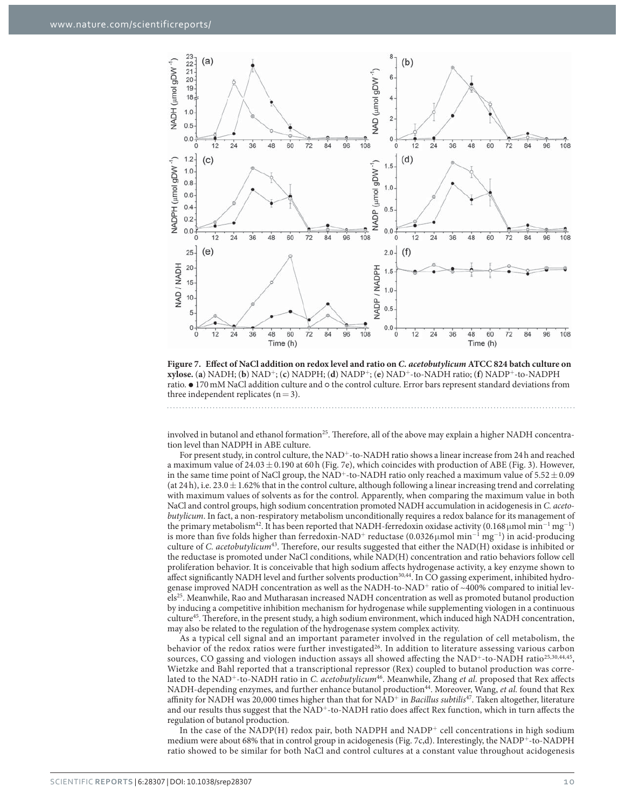

**Figure 7. Effect of NaCl addition on redox level and ratio on** *C. acetobutylicum* **ATCC 824 batch culture on xylose.** (**a**) NADH; (**b**) NAD<sup>+</sup>; (**c**) NADPH; (**d**) NADP<sup>+</sup>; (**e**) NAD<sup>+</sup>-to-NADH ratio; (**f**) NADP<sup>+</sup>-to-NADPH ratio. ● 170 mM NaCl addition culture and  $\circ$  the control culture. Error bars represent standard deviations from three independent replicates  $(n=3)$ .

involved in butanol and ethanol formation<sup>25</sup>. Therefore, all of the above may explain a higher NADH concentration level than NADPH in ABE culture.

For present study, in control culture, the NAD<sup>+</sup>-to-NADH ratio shows a linear increase from 24h and reached a maximum value of  $24.03 \pm 0.190$  at 60 h (Fig. 7e), which coincides with production of ABE (Fig. 3). However, in the same time point of NaCl group, the NAD<sup>+</sup>-to-NADH ratio only reached a maximum value of  $5.52 \pm 0.09$ (at  $24 h$ ), i.e.  $23.0 \pm 1.62\%$  that in the control culture, although following a linear increasing trend and correlating with maximum values of solvents as for the control. Apparently, when comparing the maximum value in both NaCl and control groups, high sodium concentration promoted NADH accumulation in acidogenesis in *C. acetobutylicum*. In fact, a non-respiratory metabolism unconditionally requires a redox balance for its management of the primary metabolism<sup>42</sup>. It has been reported that NADH-ferredoxin oxidase activity (0.168µmol min<sup>-1</sup> mg<sup>-1</sup>) is more than five folds higher than ferredoxin-NAD<sup>+</sup> reductase (0.0326µmol min<sup>−1</sup> mg<sup>−1</sup>) in acid-producing culture of *C. acetobutylicum*43. Therefore, our results suggested that either the NAD(H) oxidase is inhibited or the reductase is promoted under NaCl conditions, while NAD(H) concentration and ratio behaviors follow cell proliferation behavior. It is conceivable that high sodium affects hydrogenase activity, a key enzyme shown to affect significantly NADH level and further solvents production<sup>30,44</sup>. In CO gassing experiment, inhibited hydrogenase improved NADH concentration as well as the NADH-to-NAD<sup>+</sup> ratio of ~400% compared to initial levels<sup>25</sup>. Meanwhile, Rao and Mutharasan increased NADH concentration as well as promoted butanol production by inducing a competitive inhibition mechanism for hydrogenase while supplementing viologen in a continuous culture45. Therefore, in the present study, a high sodium environment, which induced high NADH concentration, may also be related to the regulation of the hydrogenase system complex activity.

As a typical cell signal and an important parameter involved in the regulation of cell metabolism, the behavior of the redox ratios were further investigated<sup>26</sup>. In addition to literature assessing various carbon sources, CO gassing and viologen induction assays all showed affecting the NAD<sup>+</sup>-to-NADH ratio<sup>25,30,44,45</sup>, Wietzke and Bahl reported that a transcriptional repressor (Rex) coupled to butanol production was correlated to the NAD<sup>+</sup>-to-NADH ratio in *C. acetobutylicum*46. Meanwhile, Zhang *et al.* proposed that Rex affects NADH-depending enzymes, and further enhance butanol production<sup>44</sup>. Moreover, Wang, *et al.* found that Rex affinity for NADH was 20,000 times higher than that for NAD<sup>+</sup> in *Bacillus subtilis*47. Taken altogether, literature and our results thus suggest that the NAD<sup>+</sup>-to-NADH ratio does affect Rex function, which in turn affects the regulation of butanol production.

In the case of the NADP(H) redox pair, both NADPH and NADP<sup>+</sup> cell concentrations in high sodium medium were about 68% that in control group in acidogenesis (Fig. 7c,d). Interestingly, the NADP<sup>+</sup>-to-NADPH ratio showed to be similar for both NaCl and control cultures at a constant value throughout acidogenesis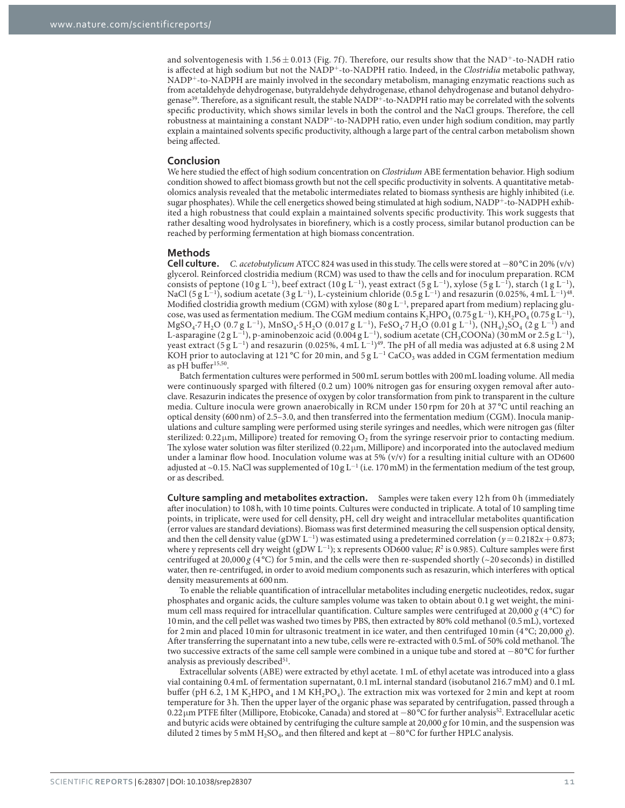and solventogenesis with  $1.56 \pm 0.013$  (Fig. 7f). Therefore, our results show that the NAD<sup>+</sup>-to-NADH ratio is affected at high sodium but not the NADP<sup>+</sup>-to-NADPH ratio. Indeed, in the *Clostridia* metabolic pathway, NADP<sup>+</sup>-to-NADPH are mainly involved in the secondary metabolism, managing enzymatic reactions such as from acetaldehyde dehydrogenase, butyraldehyde dehydrogenase, ethanol dehydrogenase and butanol dehydrogenase<sup>39</sup>. Therefore, as a significant result, the stable NADP<sup>+-</sup>to-NADPH ratio may be correlated with the solvents specific productivity, which shows similar levels in both the control and the NaCl groups. Therefore, the cell robustness at maintaining a constant NADP<sup>+</sup>-to-NADPH ratio, even under high sodium condition, may partly explain a maintained solvents specific productivity, although a large part of the central carbon metabolism shown being affected.

#### **Conclusion**

We here studied the effect of high sodium concentration on *Clostridum* ABE fermentation behavior. High sodium condition showed to affect biomass growth but not the cell specific productivity in solvents. A quantitative metabolomics analysis revealed that the metabolic intermediates related to biomass synthesis are highly inhibited (i.e. sugar phosphates). While the cell energetics showed being stimulated at high sodium, NADP+-to-NADPH exhibited a high robustness that could explain a maintained solvents specific productivity. This work suggests that rather desalting wood hydrolysates in biorefinery, which is a costly process, similar butanol production can be reached by performing fermentation at high biomass concentration.

#### **Methods**

**Cell culture.** *C. acetobutylicum* ATCC 824 was used in this study. The cells were stored at − 80 °C in 20% (v/v) glycerol. Reinforced clostridia medium (RCM) was used to thaw the cells and for inoculum preparation. RCM consists of peptone (10 g L<sup>−1</sup>), beef extract (10 g L<sup>−1</sup>), yeast extract (5 g L<sup>−1</sup>), xylose (5 g L<sup>−1</sup>), starch (1 g L<sup>−1</sup>), NaCl (5 g L<sup>−1</sup>), sodium acetate (3 g L<sup>−1</sup>), L-cysteinium chloride (0.5 g L<sup>−1</sup>) and resazurin (0.025%, 4 mL L<sup>−1</sup>)<sup>48</sup>. Modified clostridia growth medium (CGM) with xylose (80 g  $L^{-1}$ , prepared apart from medium) replacing glucose, was used as fermentation medium. The CGM medium contains  $\bar{K}_2$ HPO<sub>4</sub> (0.75 g L<sup>-1</sup>), KH<sub>2</sub>PO<sub>4</sub> (0.75 g L<sup>-1</sup>),  $MgSO_4$ ·7 H<sub>2</sub>O (0.7 g L<sup>−1</sup>), MnSO<sub>4</sub>·5 H<sub>2</sub>O (0.017 g L<sup>−1</sup>), FeSO<sub>4</sub>·7 H<sub>2</sub>O (0.01 g L<sup>−1</sup>), (NH<sub>4</sub>)<sub>2</sub>SO<sub>4</sub> (2 g L<sup>−1</sup>) and L-asparagine (2 g L<sup>-1</sup>), p-aminobenzoic acid (0.004 g L<sup>-1</sup>), sodium acetate (CH<sub>3</sub>COONa) (30 mM or 2.5 g L<sup>-1</sup>), yeast extract (5 g L<sup>−1</sup>) and resazurin (0.025%, 4 mL L<sup>−1)49</sup>. The pH of all media was adjusted at 6.8 using 2 M KOH prior to autoclaving at 121 °C for 20 min, and 5 g L<sup>-1</sup> CaCO<sub>3</sub> was added in CGM fermentation medium as pH buffer<sup>15,50</sup>.

Batch fermentation cultures were performed in 500 mL serum bottles with 200 mL loading volume. All media were continuously sparged with filtered (0.2 um) 100% nitrogen gas for ensuring oxygen removal after autoclave. Resazurin indicates the presence of oxygen by color transformation from pink to transparent in the culture media. Culture inocula were grown anaerobically in RCM under 150 rpm for 20 h at 37 °C until reaching an optical density (600 nm) of 2.5–3.0, and then transferred into the fermentation medium (CGM). Inocula manipulations and culture sampling were performed using sterile syringes and needles, which were nitrogen gas (filter sterilized: 0.22  $\mu$ m, Millipore) treated for removing O<sub>2</sub> from the syringe reservoir prior to contacting medium. The xylose water solution was filter sterilized (0.22 $\mu$ m, Millipore) and incorporated into the autoclaved medium under a laminar flow hood. Inoculation volume was at  $5\%$  (v/v) for a resulting initial culture with an OD600 adjusted at ~0.15. NaCl was supplemented of  $10 g L^{-1}$  (i.e. 170 mM) in the fermentation medium of the test group, or as described.

**Culture sampling and metabolites extraction.** Samples were taken every 12 h from 0 h (immediately after inoculation) to 108 h, with 10 time points. Cultures were conducted in triplicate. A total of 10 sampling time points, in triplicate, were used for cell density, pH, cell dry weight and intracellular metabolites quantification (error values are standard deviations). Biomass was first determined measuring the cell suspension optical density, and then the cell density value (gDW L<sup>−</sup><sup>1</sup> ) was estimated using a predetermined correlation (*y*= 0.2182*x*+ 0.873; where y represents cell dry weight (gDW L<sup>−</sup><sup>1</sup> ); x represents OD600 value; *R*<sup>2</sup> is 0.985). Culture samples were first centrifuged at 20,000 *g* (4 °C) for 5 min, and the cells were then re-suspended shortly (~20 seconds) in distilled water, then re-centrifuged, in order to avoid medium components such as resazurin, which interferes with optical density measurements at 600 nm.

To enable the reliable quantification of intracellular metabolites including energetic nucleotides, redox, sugar phosphates and organic acids, the culture samples volume was taken to obtain about 0.1 g wet weight, the minimum cell mass required for intracellular quantification. Culture samples were centrifuged at 20,000  $g$  (4 °C) for 10 min, and the cell pellet was washed two times by PBS, then extracted by 80% cold methanol (0.5 mL), vortexed for 2 min and placed 10 min for ultrasonic treatment in ice water, and then centrifuged 10 min (4 °C; 20,000 *g*). After transferring the supernatant into a new tube, cells were re-extracted with 0.5 mL of 50% cold methanol. The two successive extracts of the same cell sample were combined in a unique tube and stored at − 80 °C for further analysis as previously described<sup>51</sup>.

Extracellular solvents (ABE) were extracted by ethyl acetate. 1 mL of ethyl acetate was introduced into a glass vial containing 0.4 mL of fermentation supernatant, 0.1 mL internal standard (isobutanol 216.7 mM) and 0.1 mL buffer (pH 6.2, 1 M K<sub>2</sub>HPO<sub>4</sub> and 1 M KH<sub>2</sub>PO<sub>4</sub>). The extraction mix was vortexed for 2 min and kept at room temperature for 3 h. Then the upper layer of the organic phase was separated by centrifugation, passed through a 0.22 μm PTFE filter (Millipore, Etobicoke, Canada) and stored at −80 °C for further analysis<sup>52</sup>. Extracellular acetic and butyric acids were obtained by centrifuging the culture sample at 20,000 *g* for 10 min, and the suspension was diluted 2 times by 5 mM H2SO4, and then filtered and kept at − 80 °C for further HPLC analysis.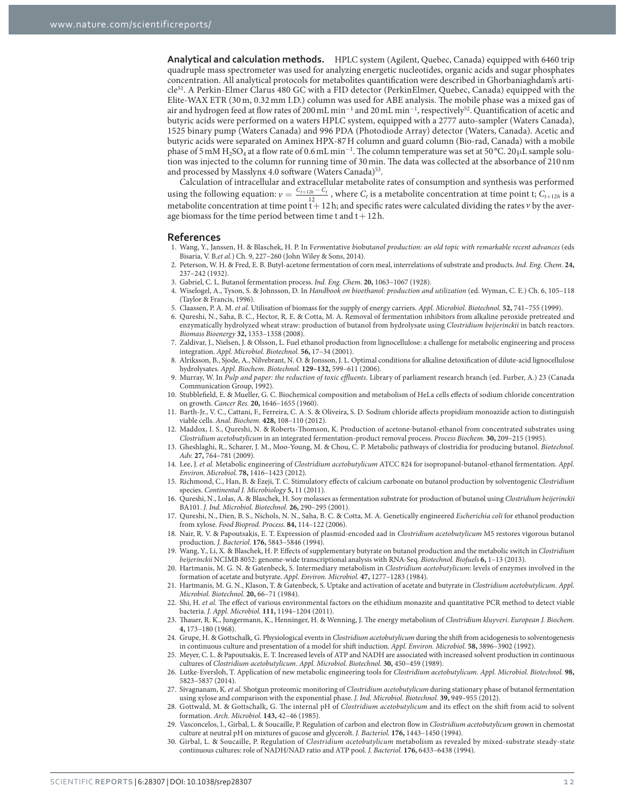**Analytical and calculation methods.** HPLC system (Agilent, Quebec, Canada) equipped with 6460 trip quadruple mass spectrometer was used for analyzing energetic nucleotides, organic acids and sugar phosphates concentration. All analytical protocols for metabolites quantification were described in Ghorbaniaghdam's article<sup>51</sup>. A Perkin-Elmer Clarus 480 GC with a FID detector (PerkinElmer, Quebec, Canada) equipped with the Elite-WAX ETR (30 m, 0.32 mm I.D.) column was used for ABE analysis. The mobile phase was a mixed gas of air and hydrogen feed at flow rates of 200 mL min<sup>-1</sup> and 20 mL min<sup>-1</sup>, respectively<sup>52</sup>. Quantification of acetic and butyric acids were performed on a waters HPLC system, equipped with a 2777 auto-sampler (Waters Canada), 1525 binary pump (Waters Canada) and 996 PDA (Photodiode Array) detector (Waters, Canada). Acetic and butyric acids were separated on Aminex HPX-87 H column and guard column (Bio-rad, Canada) with a mobile phase of 5 mM  $\rm H_2SO_4$  at a flow rate of 0.6 mL min $^{-1}$ . The column temperature was set at 50 °C. 20 µL sample solution was injected to the column for running time of 30 min. The data was collected at the absorbance of 210 nm and processed by Masslynx 4.0 software (Waters Canada)<sup>53</sup>.

Calculation of intracellular and extracellular metabolite rates of consumption and synthesis was performed using the following equation:  $v = \frac{C_{t+12h} - C_t}{12}$ , where  $C_t$  is a metabolite concentration at time point t;  $C_{t+12h}$  is a 12<br>metabolite concentration at time point t + 12 h; and specific rates were calculated dividing the rates *v* by the average biomass for the time period between time t and  $t + 12$  h.

#### **References**

- 1. Wang, Y., Janssen, H. & Blaschek, H. P. In F*erm*entative *b*iobut*anol production: an old topic with remarkable recent advances* (eds Bisaria, V. B.*et al.*) Ch. 9, 227–260 (John Wiley & Sons, 2014).
- 2. Peterson, W. H. & Fred, E. B. Butyl-acetone fermentation of corn meal, interrelations of substrate and products. *Ind. Eng. Chem*. **24,** 237–242 (1932).
- 3. Gabriel, C. L. Butanol fermentation process. *Ind. Eng. Chem*. **20,** 1063–1067 (1928).
- 4. Wiselogel, A., Tyson, S. & Johnsson, D. In *Handbook on bioethanol: production and utilization* (ed. Wyman, C. E.) Ch. 6, 105–118 (Taylor & Francis, 1996).
- 5. Claassen, P. A. M. *et al.* Utilisation of biomass for the supply of energy carriers. *Appl. Microbiol. Biotechnol.* **52,** 741–755 (1999).
- 6. Qureshi, N., Saha, B. C., Hector, R. E. & Cotta, M. A. Removal of fermentation inhibitors from alkaline peroxide pretreated and enzymatically hydrolyzed wheat straw: production of butanol from hydrolysate using *Clostridium beijerinckii* in batch reactors. *Biomass Bioenergy* **32,** 1353–1358 (2008).
- 7. Zaldivar, J., Nielsen, J. & Olsson, L. Fuel ethanol production from lignocellulose: a challenge for metabolic engineering and process integration. *Appl. Microbiol. Biotechnol.* **56,** 17–34 (2001).
- 8. Alriksson, B., Sjode, A., Nilvebrant, N. O. & Jonsson, J. L. Optimal conditions for alkaline detoxification of dilute-acid lignocellulose hydrolysates. *Appl. Biochem. Biotechnol.* **129–132,** 599–611 (2006).
- 9. Murray, W. In *Pulp and paper: the reduction of toxic effluents*. Library of parliament research branch (ed. Furber, A.) 23 (Canada Communication Group, 1992).
- 10. Stubblefield, E. & Mueller, G. C. Biochemical composition and metabolism of HeLa cells effects of sodium chloride concentration on growth. *Cancer Res.* **20,** 1646–1655 (1960).
- 11. Barth-Jr., V. C., Cattani, F., Ferreira, C. A. S. & Oliveira, S. D. Sodium chloride affects propidium monoazide action to distinguish viable cells. *Anal. Biochem.* **428,** 108–110 (2012).
- 12. Maddox, I. S., Qureshi, N. & Roberts-Thomson, K. Production of acetone-butanol-ethanol from concentrated substrates using *Clostridium acetobutylicum* in an integrated fermentation-product removal process. *Process Biochem.* **30,** 209–215 (1995).
- 13. Gheshlaghi, R., Scharer, J. M., Moo-Young, M. & Chou, C. P. Metabolic pathways of clostridia for producing butanol. *Biotechnol. Adv.* **27,** 764–781 (2009).
- 14. Lee, J. *et al.* Metabolic engineering of *Clostridium acetobutylicum* ATCC 824 for isopropanol-butanol-ethanol fermentation. *Appl. Environ. Microbiol.* **78,** 1416–1423 (2012).
- 15. Richmond, C., Han, B. & Ezeji, T. C. Stimulatory effects of calcium carbonate on butanol production by solventogenic *Clostridium* species. *Continental J. Microbiology* **5,** 11 (2011).
- 16. Qureshi, N., Lolas, A. & Blaschek, H. Soy molasses as fermentation substrate for production of butanol using *Clostridium beijerinckii* BA101. *J. Ind. Microbiol. Biotechnol.* **26,** 290–295 (2001).
- 17. Qureshi, N., Dien, B. S., Nichols, N. N., Saha, B. C. & Cotta, M. A. Genetically engineered *Escherichia coli* for ethanol production from xylose. *Food Bioprod. Process.* **84,** 114–122 (2006).
- 18. Nair, R. V. & Papoutsakis, E. T. Expression of plasmid-encoded aad in *Clostridium acetobutylicum* M5 restores vigorous butanol production. *J. Bacteriol.* **176,** 5843–5846 (1994).
- 19. Wang, Y., Li, X. & Blaschek, H. P. Effects of supplementary butyrate on butanol production and the metabolic switch in *Clostridium beijerinckii* NCIMB 8052: genome-wide transcriptional analysis with RNA-Seq. *Biotechnol. Biofuels* **6,** 1–13 (2013).
- 20. Hartmanis, M. G. N. & Gatenbeck, S. Intermediary metabolism in *Clostridium acetobutylicum*: levels of enzymes involved in the formation of acetate and butyrate. *Appl. Environ. Microbiol.* **47,** 1277–1283 (1984).
- 21. Hartmanis, M. G. N., Klason, T. & Gatenbeck, S. Uptake and activation of acetate and butyrate in *Clostridium acetobutylicum*. *Appl. Microbiol. Biotechnol.* **20,** 66–71 (1984).
- 22. Shi, H. *et al.* The effect of various environmental factors on the ethidium monazite and quantitative PCR method to detect viable bacteria. *J. Appl. Microbiol.* **111,** 1194–1204 (2011).
- 23. Thauer, R. K., Jungermann, K., Henninger, H. & Wenning, J. The energy metabolism of *Clostridium kluyveri*. *European J. Biochem.* **4,** 173–180 (1968).
- 24. Grupe, H. & Gottschalk, G. Physiological events in *Clostridium acetobutylicum* during the shift from acidogenesis to solventogenesis in continuous culture and presentation of a model for shift induction. *Appl. Environ. Microbiol.* **58,** 3896–3902 (1992).
- 25. Meyer, C. L. & Papoutsakis, E. T. Increased levels of ATP and NADH are associated with increased solvent production in continuous cultures of *Clostridium acetobutylicum*. *Appl. Microbiol. Biotechnol.* **30,** 450–459 (1989).
- 26. Lutke-Eversloh, T. Application of new metabolic engineering tools for *Clostridium acetobutylicum*. *Appl. Microbiol. Biotechnol.* **98,** 5823–5837 (2014).
- 27. Sivagnanam, K. *et al.* Shotgun proteomic monitoring of *Clostridium acetobutylicum* during stationary phase of butanol fermentation using xylose and comparison with the exponential phase. *J. Ind. Microbiol. Biotechnol.* **39,** 949–955 (2012).
- 28. Gottwald, M. & Gottschalk, G. The internal pH of *Clostridium acetobutylicum* and its effect on the shift from acid to solvent formation. *Arch. Microbiol.* **143,** 42–46 (1985).
- 29. Vasconcelos, I., Girbal, L. & Soucaille, P. Regulation of carbon and electron flow in *Clostridium acetobutylicum* grown in chemostat culture at neutral pH on mixtures of gucose and glycerolt. *J. Bacteriol.* **176,** 1443–1450 (1994).
- 30. Girbal, L. & Soucaille, P. Regulation of *Clostridium acetobutylicum* metabolism as revealed by mixed-substrate steady-state continuous cultures: role of NADH/NAD ratio and ATP pool. *J. Bacteriol.* **176,** 6433–6438 (1994).